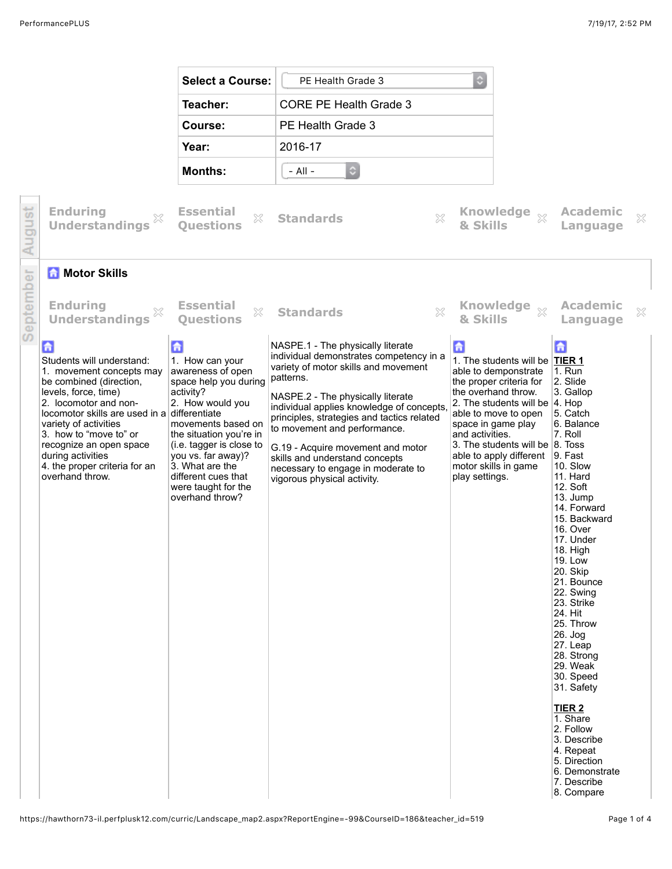|                 |                                                                                                                                                                                                                                                                                                                                                          | <b>Select a Course:</b>                                                                                                                                                                                                                                                                    | PE Health Grade 3                                                                                                                                                                                                                                                                                                                                                                                                                             | $\circ$                                                                                                                                                                                                                                                                                                                                         |                                                                                                                                                                                                                                                                                                                                                                                                                                                                                                                       |              |
|-----------------|----------------------------------------------------------------------------------------------------------------------------------------------------------------------------------------------------------------------------------------------------------------------------------------------------------------------------------------------------------|--------------------------------------------------------------------------------------------------------------------------------------------------------------------------------------------------------------------------------------------------------------------------------------------|-----------------------------------------------------------------------------------------------------------------------------------------------------------------------------------------------------------------------------------------------------------------------------------------------------------------------------------------------------------------------------------------------------------------------------------------------|-------------------------------------------------------------------------------------------------------------------------------------------------------------------------------------------------------------------------------------------------------------------------------------------------------------------------------------------------|-----------------------------------------------------------------------------------------------------------------------------------------------------------------------------------------------------------------------------------------------------------------------------------------------------------------------------------------------------------------------------------------------------------------------------------------------------------------------------------------------------------------------|--------------|
|                 |                                                                                                                                                                                                                                                                                                                                                          | Teacher:                                                                                                                                                                                                                                                                                   | <b>CORE PE Health Grade 3</b>                                                                                                                                                                                                                                                                                                                                                                                                                 |                                                                                                                                                                                                                                                                                                                                                 |                                                                                                                                                                                                                                                                                                                                                                                                                                                                                                                       |              |
|                 |                                                                                                                                                                                                                                                                                                                                                          | Course:                                                                                                                                                                                                                                                                                    | PE Health Grade 3                                                                                                                                                                                                                                                                                                                                                                                                                             |                                                                                                                                                                                                                                                                                                                                                 |                                                                                                                                                                                                                                                                                                                                                                                                                                                                                                                       |              |
|                 |                                                                                                                                                                                                                                                                                                                                                          | Year:                                                                                                                                                                                                                                                                                      | 2016-17                                                                                                                                                                                                                                                                                                                                                                                                                                       |                                                                                                                                                                                                                                                                                                                                                 |                                                                                                                                                                                                                                                                                                                                                                                                                                                                                                                       |              |
|                 |                                                                                                                                                                                                                                                                                                                                                          | <b>Months:</b>                                                                                                                                                                                                                                                                             | $\circ$<br>$-$ All $-$                                                                                                                                                                                                                                                                                                                                                                                                                        |                                                                                                                                                                                                                                                                                                                                                 |                                                                                                                                                                                                                                                                                                                                                                                                                                                                                                                       |              |
|                 | <b>Enduring</b><br><b>Understandings</b>                                                                                                                                                                                                                                                                                                                 | <b>Essential</b><br>X<br><b>Ouestions</b>                                                                                                                                                                                                                                                  | X<br><b>Standards</b>                                                                                                                                                                                                                                                                                                                                                                                                                         | Knowledge xx<br>& Skills                                                                                                                                                                                                                                                                                                                        | <b>Academic</b><br>Language                                                                                                                                                                                                                                                                                                                                                                                                                                                                                           | ×            |
| $\bar{\text e}$ | <b>A</b> Motor Skills                                                                                                                                                                                                                                                                                                                                    |                                                                                                                                                                                                                                                                                            |                                                                                                                                                                                                                                                                                                                                                                                                                                               |                                                                                                                                                                                                                                                                                                                                                 |                                                                                                                                                                                                                                                                                                                                                                                                                                                                                                                       |              |
| epremp<br>D     | <b>Enduring</b><br>X<br><b>Understandings</b>                                                                                                                                                                                                                                                                                                            | <b>Essential</b><br>53<br><b>Ouestions</b>                                                                                                                                                                                                                                                 | $\mathbb{S}^2$<br><b>Standards</b>                                                                                                                                                                                                                                                                                                                                                                                                            | Knowledge xx<br>& Skills                                                                                                                                                                                                                                                                                                                        | Academic<br>Language                                                                                                                                                                                                                                                                                                                                                                                                                                                                                                  | $\mathbb{X}$ |
|                 | $\mathbf{G}$<br>Students will understand:<br>1. movement concepts may<br>be combined (direction,<br>levels, force, time)<br>2. locomotor and non-<br>locomotor skills are used in a differentiate<br>variety of activities<br>3. how to "move to" or<br>recognize an open space<br>during activities<br>4. the proper criteria for an<br>overhand throw. | 6<br>1. How can your<br>awareness of open<br>space help you during<br>activity?<br>2. How would you<br>movements based on<br>the situation you're in<br>(i.e. tagger is close to<br>you vs. far away)?<br>3. What are the<br>different cues that<br>were taught for the<br>overhand throw? | NASPE.1 - The physically literate<br>individual demonstrates competency in a<br>variety of motor skills and movement<br>patterns.<br>NASPE.2 - The physically literate<br>individual applies knowledge of concepts,<br>principles, strategies and tactics related<br>to movement and performance.<br>G.19 - Acquire movement and motor<br>skills and understand concepts<br>necessary to engage in moderate to<br>vigorous physical activity. | 6<br>1. The students will be TIER 1<br>able to demponstrate<br>the proper criteria for<br>the overhand throw.<br>2. The students will be $ 4$ . Hop<br>able to move to open<br>space in game play<br>and activities.<br>3. The students will be $ 8.7$ oss<br>able to apply different $\vert 9.$ Fast<br>motor skills in game<br>play settings. | 습<br>$1.$ Run<br>2. Slide<br>3. Gallop<br>5. Catch<br>6. Balance<br>7. Roll<br>10. Slow<br>11. Hard<br>12. Soft<br>13. Jump<br>14. Forward<br>15. Backward<br>16. Over<br>17. Under<br>18. High<br><b>19. Low</b><br>20. Skip<br>21. Bounce<br>22. Swing<br>23. Strike<br>24. Hit<br>25. Throw<br>$26.$ Jog<br>27. Leap<br>28. Strong<br>29. Weak<br>30. Speed<br>31. Safety<br>TIER <sub>2</sub><br>1. Share<br>2. Follow<br>3. Describe<br>4. Repeat<br>5. Direction<br>6. Demonstrate<br>7. Describe<br>8. Compare |              |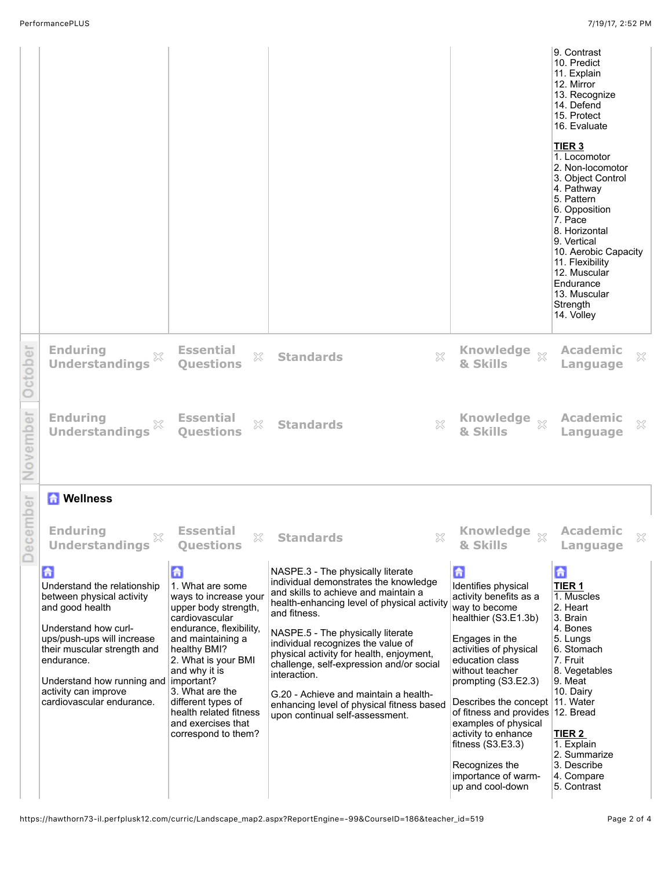|          |                                                                                                                                                                                                                                                                                      |                                                                                                                                                                                                                                                                                                                  |                                                                                                                                                                                                                                                                                                                                                                                                                                                                                               |                                                                                                                                                                                                                                                                                                                                                                                                                   | 9. Contrast<br>10. Predict<br>11. Explain<br>12. Mirror<br>13. Recognize<br>14. Defend<br>15. Protect<br>16. Evaluate<br>TIER <sub>3</sub><br>1. Locomotor<br>2. Non-locomotor<br>3. Object Control<br>4. Pathway<br>5. Pattern<br>6. Opposition<br>7. Pace<br>8. Horizontal<br>9. Vertical<br>10. Aerobic Capacity<br>11. Flexibility<br>12. Muscular<br>Endurance<br>13. Muscular<br>Strength<br>14. Volley |
|----------|--------------------------------------------------------------------------------------------------------------------------------------------------------------------------------------------------------------------------------------------------------------------------------------|------------------------------------------------------------------------------------------------------------------------------------------------------------------------------------------------------------------------------------------------------------------------------------------------------------------|-----------------------------------------------------------------------------------------------------------------------------------------------------------------------------------------------------------------------------------------------------------------------------------------------------------------------------------------------------------------------------------------------------------------------------------------------------------------------------------------------|-------------------------------------------------------------------------------------------------------------------------------------------------------------------------------------------------------------------------------------------------------------------------------------------------------------------------------------------------------------------------------------------------------------------|---------------------------------------------------------------------------------------------------------------------------------------------------------------------------------------------------------------------------------------------------------------------------------------------------------------------------------------------------------------------------------------------------------------|
| October  | <b>Enduring</b><br><b>Understandings</b>                                                                                                                                                                                                                                             | <b>Essential</b><br>$\gtrsim$<br><b>Ouestions</b>                                                                                                                                                                                                                                                                | $\boldsymbol{\mathsf{X}}$<br><b>Standards</b>                                                                                                                                                                                                                                                                                                                                                                                                                                                 | <b>Knowledge</b><br>$\chi$<br>& Skills                                                                                                                                                                                                                                                                                                                                                                            | <b>Academic</b><br>×<br>Language                                                                                                                                                                                                                                                                                                                                                                              |
| November | <b>Enduring</b><br><b>Understandings</b>                                                                                                                                                                                                                                             | <b>Essential</b><br>×<br><b>Questions</b>                                                                                                                                                                                                                                                                        | X<br><b>Standards</b>                                                                                                                                                                                                                                                                                                                                                                                                                                                                         | <b>Knowledge</b><br>$\chi$<br>& Skills                                                                                                                                                                                                                                                                                                                                                                            | <b>Academic</b><br>×<br>Language                                                                                                                                                                                                                                                                                                                                                                              |
|          | <b>Mellness</b>                                                                                                                                                                                                                                                                      |                                                                                                                                                                                                                                                                                                                  |                                                                                                                                                                                                                                                                                                                                                                                                                                                                                               |                                                                                                                                                                                                                                                                                                                                                                                                                   |                                                                                                                                                                                                                                                                                                                                                                                                               |
| December | <b>Enduring</b><br>×<br><b>Understandings</b>                                                                                                                                                                                                                                        | <b>Essential</b><br>×<br><b>Questions</b>                                                                                                                                                                                                                                                                        | $\gtrsim$<br><b>Standards</b>                                                                                                                                                                                                                                                                                                                                                                                                                                                                 | & Skills                                                                                                                                                                                                                                                                                                                                                                                                          | <b>Academic</b><br>×<br>Language                                                                                                                                                                                                                                                                                                                                                                              |
|          | 「一<br>Understand the relationship<br>between physical activity<br>and good health<br>Understand how curl-<br>ups/push-ups will increase<br>their muscular strength and<br>endurance.<br>Understand how running and   important?<br>activity can improve<br>cardiovascular endurance. | 鱼<br>1. What are some<br>ways to increase your<br>upper body strength,<br>cardiovascular<br>endurance, flexibility,<br>and maintaining a<br>healthy BMI?<br>2. What is your BMI<br>and why it is<br>3. What are the<br>different types of<br>health related fitness<br>and exercises that<br>correspond to them? | NASPE.3 - The physically literate<br>individual demonstrates the knowledge<br>and skills to achieve and maintain a<br>health-enhancing level of physical activity<br>and fitness.<br>NASPE.5 - The physically literate<br>individual recognizes the value of<br>physical activity for health, enjoyment,<br>challenge, self-expression and/or social<br>interaction.<br>G.20 - Achieve and maintain a health-<br>enhancing level of physical fitness based<br>upon continual self-assessment. | 6<br>Identifies physical<br>activity benefits as a<br>way to become<br>healthier (S3.E1.3b)<br>Engages in the<br>activities of physical<br>education class<br>without teacher<br>prompting (S3.E2.3)<br>Describes the concept   11. Water<br>of fitness and provides 12. Bread<br>examples of physical<br>activity to enhance<br>fitness $(S3.E3.3)$<br>Recognizes the<br>importance of warm-<br>up and cool-down | $\mathbf{G}$<br>TIER <sub>1</sub><br>1. Muscles<br>2. Heart<br>3. Brain<br>4. Bones<br>5. Lungs<br>6. Stomach<br>7. Fruit<br>8. Vegetables<br>9. Meat<br>10. Dairy<br>TIER 2<br>1. Explain<br>2. Summarize<br>3. Describe<br>4. Compare<br>5. Contrast                                                                                                                                                        |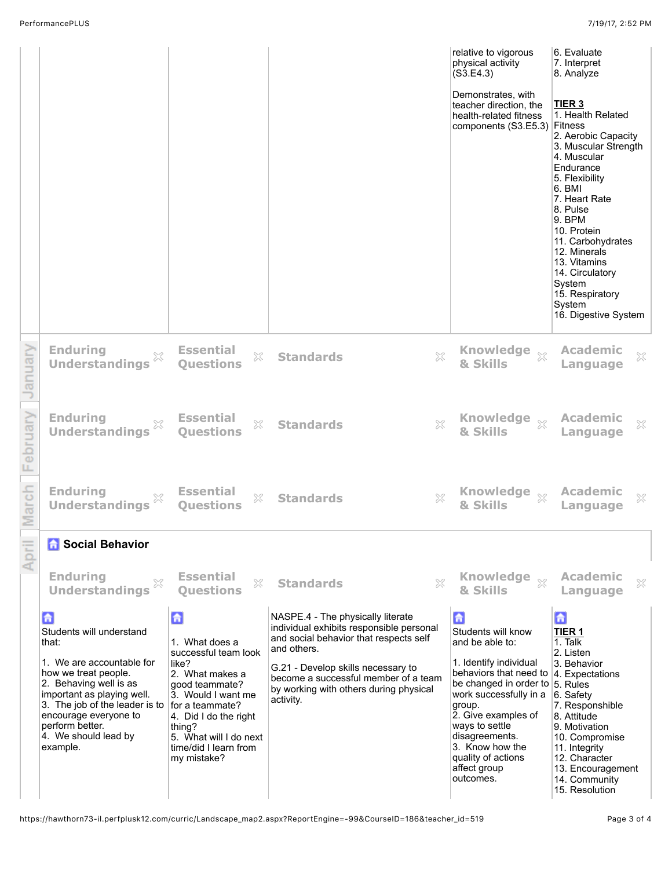|        |                                                                                                                                                                                                                                                                                       |                                                                                                                                                                                                                      |                                                                                                                                                                                                                                                                             | relative to vigorous<br>physical activity<br>(S3.E4.3)<br>Demonstrates, with<br>teacher direction, the<br>health-related fitness<br>components (S3.E5.3) Fitness                                                                                                                                                                   | 6. Evaluate<br>7. Interpret<br>8. Analyze<br>TIER <sub>3</sub><br>1. Health Related<br>2. Aerobic Capacity<br>3. Muscular Strength<br>4. Muscular<br>Endurance<br>5. Flexibility<br>6. BMI<br>7. Heart Rate<br>8. Pulse<br>9. BPM<br>10. Protein<br>11. Carbohydrates<br>12. Minerals<br>13. Vitamins<br>14. Circulatory<br>System<br>15. Respiratory<br>System<br>16. Digestive System |
|--------|---------------------------------------------------------------------------------------------------------------------------------------------------------------------------------------------------------------------------------------------------------------------------------------|----------------------------------------------------------------------------------------------------------------------------------------------------------------------------------------------------------------------|-----------------------------------------------------------------------------------------------------------------------------------------------------------------------------------------------------------------------------------------------------------------------------|------------------------------------------------------------------------------------------------------------------------------------------------------------------------------------------------------------------------------------------------------------------------------------------------------------------------------------|-----------------------------------------------------------------------------------------------------------------------------------------------------------------------------------------------------------------------------------------------------------------------------------------------------------------------------------------------------------------------------------------|
| anuar  | <b>Enduring</b><br><b>Understandings</b>                                                                                                                                                                                                                                              | <b>Essential</b><br>53<br><b>Ouestions</b>                                                                                                                                                                           | $\boldsymbol{\mathbb{X}}$<br><b>Standards</b>                                                                                                                                                                                                                               | <b>Knowledge</b><br>$\bar{\chi}$<br>& Skills                                                                                                                                                                                                                                                                                       | <b>Academic</b><br>×<br>Language                                                                                                                                                                                                                                                                                                                                                        |
| i<br>B | <b>Enduring</b><br><b>Understandings</b>                                                                                                                                                                                                                                              | <b>Essential</b><br>×<br><b>Ouestions</b>                                                                                                                                                                            | X<br><b>Standards</b>                                                                                                                                                                                                                                                       | <b>Knowledge</b><br>$\chi$<br>& Skills                                                                                                                                                                                                                                                                                             | <b>Academic</b><br>×<br>Language                                                                                                                                                                                                                                                                                                                                                        |
|        | <b>Enduring</b><br><b>Understandings</b>                                                                                                                                                                                                                                              | <b>Essential</b><br>×<br><b>Ouestions</b>                                                                                                                                                                            | X<br><b>Standards</b>                                                                                                                                                                                                                                                       | <b>Knowledge</b><br>$\chi$<br>& Skills                                                                                                                                                                                                                                                                                             | <b>Academic</b><br>×<br>Language                                                                                                                                                                                                                                                                                                                                                        |
| April  | <b>A</b> Social Behavior                                                                                                                                                                                                                                                              |                                                                                                                                                                                                                      |                                                                                                                                                                                                                                                                             |                                                                                                                                                                                                                                                                                                                                    |                                                                                                                                                                                                                                                                                                                                                                                         |
|        | <b>Enduring</b><br>X<br><b>Understandings</b>                                                                                                                                                                                                                                         | <b>Essential</b><br>X<br><b>Ouestions</b>                                                                                                                                                                            | X<br><b>Standards</b>                                                                                                                                                                                                                                                       | Knowledge xx<br>& Skills                                                                                                                                                                                                                                                                                                           | <b>Academic</b><br>×<br>Language                                                                                                                                                                                                                                                                                                                                                        |
|        | a<br>Students will understand<br>that:<br>1. We are accountable for<br>how we treat people.<br>2. Behaving well is as<br>important as playing well.<br>3. The job of the leader is to for a teammate?<br>encourage everyone to<br>perform better.<br>4. We should lead by<br>example. | 6<br>1. What does a<br>successful team look<br>like?<br>2. What makes a<br>good teammate?<br>3. Would I want me<br>4. Did I do the right<br>thing?<br>5. What will I do next<br>time/did I learn from<br>my mistake? | NASPE.4 - The physically literate<br>individual exhibits responsible personal<br>and social behavior that respects self<br>and others.<br>G.21 - Develop skills necessary to<br>become a successful member of a team<br>by working with others during physical<br>activity. | $\mathbf{a}$<br>Students will know<br>and be able to:<br>1. Identify individual<br>behaviors that need to  4. Expectations<br>be changed in order to 5. Rules<br>work successfully in a<br>group.<br>2. Give examples of<br>ways to settle<br>disagreements.<br>3. Know how the<br>quality of actions<br>affect group<br>outcomes. | 命<br>TIER <sub>1</sub><br>1. Talk<br>2. Listen<br>3. Behavior<br>6. Safety<br>7. Responshible<br>8. Attitude<br>9. Motivation<br>10. Compromise<br>11. Integrity<br>12. Character<br>13. Encouragement<br>14. Community<br>15. Resolution                                                                                                                                               |